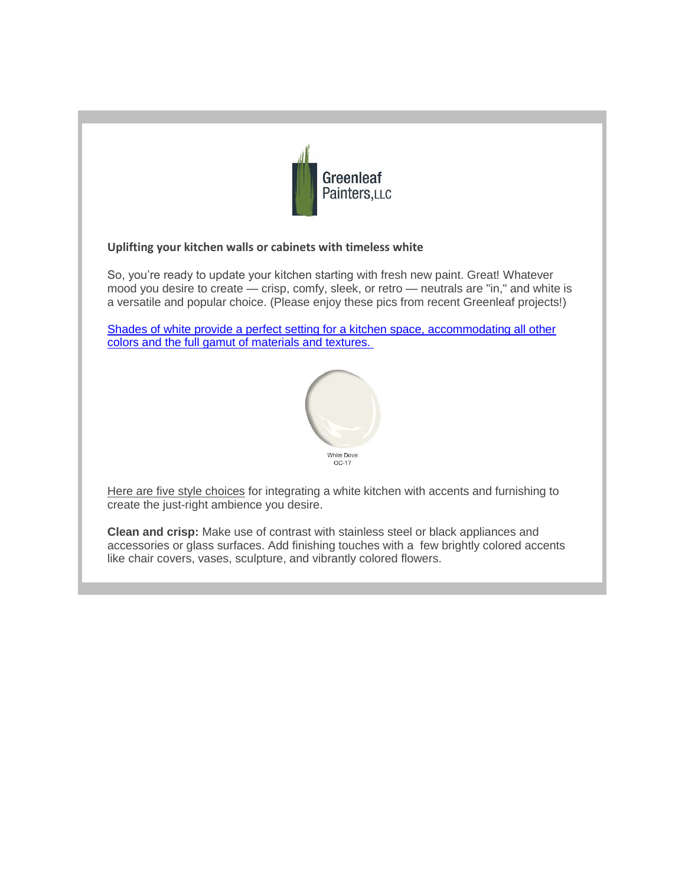

## **Uplifting your kitchen walls or cabinets with timeless white**

So, you're ready to update your kitchen starting with fresh new paint. Great! Whatever mood you desire to create — crisp, comfy, sleek, or retro — neutrals are "in," and white is a versatile and popular choice. (Please enjoy these pics from recent Greenleaf projects!)

[Shades of white provide a perfect setting for a kitchen space, accommodating all other](x-msg://61/)  [colors and the full gamut of materials and textures.](x-msg://61/)



Here are five style choices for integrating a white kitchen with accents and furnishing to create the just-right ambience you desire.

**Clean and crisp:** Make use of contrast with stainless steel or black appliances and accessories or glass surfaces. Add finishing touches with a few brightly colored accents like chair covers, vases, sculpture, and vibrantly colored flowers.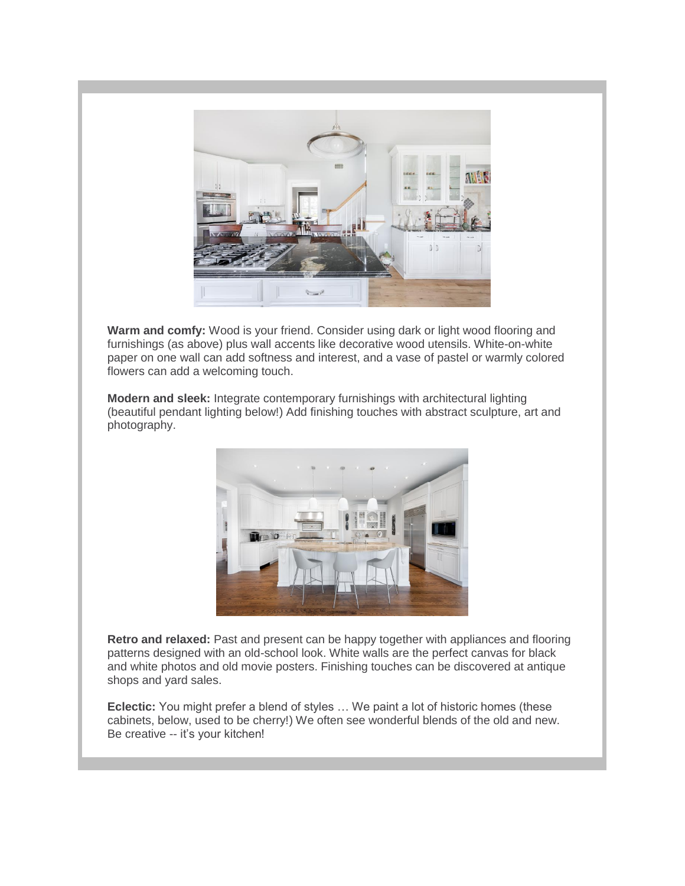

**Warm and comfy:** Wood is your friend. Consider using dark or light wood flooring and furnishings (as above) plus wall accents like decorative wood utensils. White-on-white paper on one wall can add softness and interest, and a vase of pastel or warmly colored flowers can add a welcoming touch.

**Modern and sleek:** Integrate contemporary furnishings with architectural lighting (beautiful pendant lighting below!) Add finishing touches with abstract sculpture, art and photography.



**Retro and relaxed:** Past and present can be happy together with appliances and flooring patterns designed with an old-school look. White walls are the perfect canvas for black and white photos and old movie posters. Finishing touches can be discovered at antique shops and yard sales.

**Eclectic:** You might prefer a blend of styles … We paint a lot of historic homes (these cabinets, below, used to be cherry!) We often see wonderful blends of the old and new. Be creative -- it's your kitchen!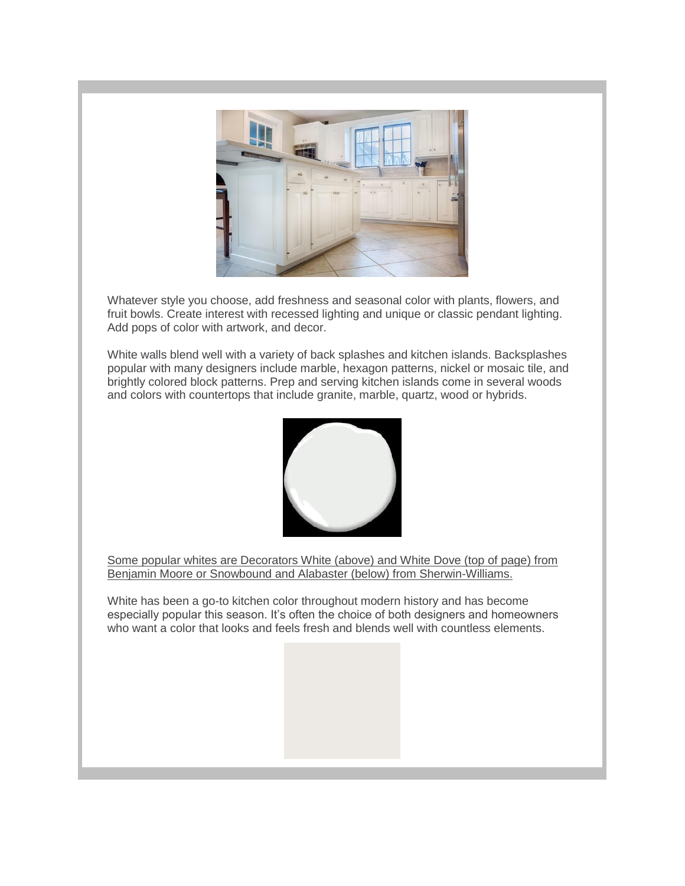

Whatever style you choose, add freshness and seasonal color with plants, flowers, and fruit bowls. Create interest with recessed lighting and unique or classic pendant lighting. Add pops of color with artwork, and decor.

White walls blend well with a variety of back splashes and kitchen islands. Backsplashes popular with many designers include marble, hexagon patterns, nickel or mosaic tile, and brightly colored block patterns. Prep and serving kitchen islands come in several woods and colors with countertops that include granite, marble, quartz, wood or hybrids.



Some popular whites are Decorators White (above) and White Dove (top of page) from Benjamin Moore or Snowbound and Alabaster (below) from Sherwin-Williams.

White has been a go-to kitchen color throughout modern history and has become especially popular this season. It's often the choice of both designers and homeowners who want a color that looks and feels fresh and blends well with countless elements.